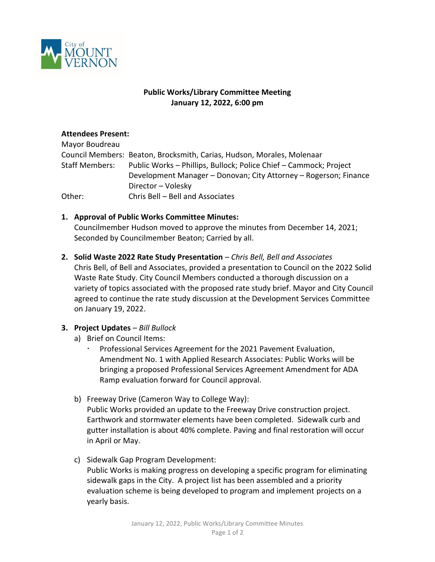

## **Public Works/Library Committee Meeting January 12, 2022, 6:00 pm**

## **Attendees Present:**

| Mayor Boudreau        |                                                                        |
|-----------------------|------------------------------------------------------------------------|
|                       | Council Members: Beaton, Brocksmith, Carias, Hudson, Morales, Molenaar |
| <b>Staff Members:</b> | Public Works - Phillips, Bullock; Police Chief - Cammock; Project      |
|                       | Development Manager - Donovan; City Attorney - Rogerson; Finance       |
|                       | Director - Volesky                                                     |
| Other:                | Chris Bell - Bell and Associates                                       |

## **1. Approval of Public Works Committee Minutes:**

Councilmember Hudson moved to approve the minutes from December 14, 2021; Seconded by Councilmember Beaton; Carried by all.

**2. Solid Waste 2022 Rate Study Presentation** *– Chris Bell, Bell and Associates* Chris Bell, of Bell and Associates, provided a presentation to Council on the 2022 Solid Waste Rate Study. City Council Members conducted a thorough discussion on a variety of topics associated with the proposed rate study brief. Mayor and City Council agreed to continue the rate study discussion at the Development Services Committee on January 19, 2022.

# **3. Project Updates** *– Bill Bullock*

- a) Brief on Council Items:
	- Professional Services Agreement for the 2021 Pavement Evaluation, Amendment No. 1 with Applied Research Associates: Public Works will be bringing a proposed Professional Services Agreement Amendment for ADA Ramp evaluation forward for Council approval.
- b) Freeway Drive (Cameron Way to College Way): Public Works provided an update to the Freeway Drive construction project. Earthwork and stormwater elements have been completed. Sidewalk curb and gutter installation is about 40% complete. Paving and final restoration will occur in April or May.
- c) Sidewalk Gap Program Development:

Public Works is making progress on developing a specific program for eliminating sidewalk gaps in the City. A project list has been assembled and a priority evaluation scheme is being developed to program and implement projects on a yearly basis.